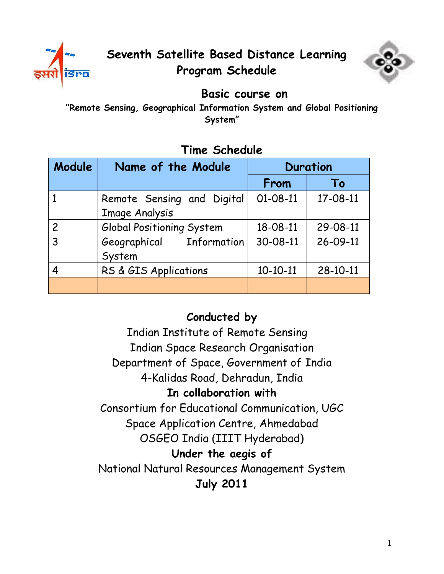



### **Basic course on**

**"Remote Sensing, Geographical Information System and Global Positioning System"**

## **Module Name of the Module Duration From To** 1 Remote Sensing and Digital Image Analysis 01-08-11 17-08-11 2 Global Positioning System 18-08-11 29-08-11 3 Geographical Information System 30-08-11 26-09-11 4 RS & GIS Applications 10-10-11 28-10-11

# **Time Schedule**

# **Conducted by**

 Indian Institute of Remote Sensing Indian Space Research Organisation Department of Space, Government of India 4-Kalidas Road, Dehradun, India **In collaboration with**  Consortium for Educational Communication, UGC Space Application Centre, Ahmedabad OSGEO India (IIIT Hyderabad) **Under the aegis of**  National Natural Resources Management System **July 2011**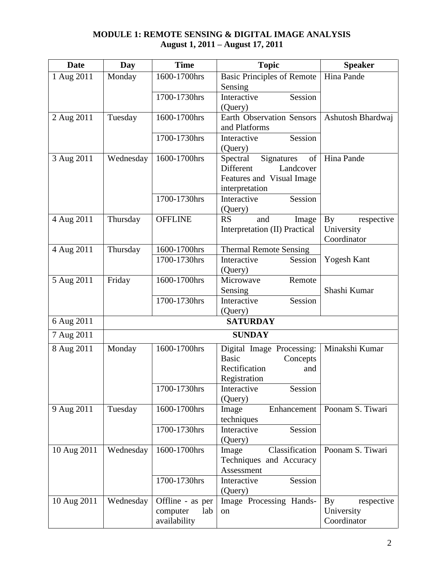### **MODULE 1: REMOTE SENSING & DIGITAL IMAGE ANALYSIS August 1, 2011 – August 17, 2011**

| <b>Date</b> | Day             | <b>Time</b>      | <b>Topic</b>                            | <b>Speaker</b>    |  |
|-------------|-----------------|------------------|-----------------------------------------|-------------------|--|
| 1 Aug 2011  | Monday          | 1600-1700hrs     | <b>Basic Principles of Remote</b>       | Hina Pande        |  |
|             |                 |                  | Sensing                                 |                   |  |
|             |                 | 1700-1730hrs     | Interactive<br>Session                  |                   |  |
|             |                 |                  | (Query)                                 |                   |  |
| 2 Aug 2011  | Tuesday         | 1600-1700hrs     | <b>Earth Observation Sensors</b>        | Ashutosh Bhardwaj |  |
|             |                 |                  | and Platforms                           |                   |  |
|             |                 | 1700-1730hrs     | Session<br>Interactive                  |                   |  |
| 3 Aug 2011  | Wednesday       | 1600-1700hrs     | (Query)<br>Signatures<br>of<br>Spectral | Hina Pande        |  |
|             |                 |                  | Different<br>Landcover                  |                   |  |
|             |                 |                  | Features and Visual Image               |                   |  |
|             |                 |                  | interpretation                          |                   |  |
|             |                 | 1700-1730hrs     | Interactive<br>Session                  |                   |  |
|             |                 |                  | (Query)                                 |                   |  |
| 4 Aug 2011  | Thursday        | <b>OFFLINE</b>   | <b>RS</b><br>and<br>Image               | By<br>respective  |  |
|             |                 |                  | Interpretation (II) Practical           | University        |  |
|             |                 |                  |                                         | Coordinator       |  |
| 4 Aug 2011  | Thursday        | 1600-1700hrs     | <b>Thermal Remote Sensing</b>           |                   |  |
|             |                 | 1700-1730hrs     | Interactive<br>Session                  | Yogesh Kant       |  |
|             |                 |                  | (Query)                                 |                   |  |
| 5 Aug 2011  | Friday          | 1600-1700hrs     | Microwave<br>Remote<br>Sensing          | Shashi Kumar      |  |
|             |                 | 1700-1730hrs     | Session<br>Interactive                  |                   |  |
|             |                 |                  | (Query)                                 |                   |  |
| 6 Aug 2011  | <b>SATURDAY</b> |                  |                                         |                   |  |
| 7 Aug 2011  |                 |                  | <b>SUNDAY</b>                           |                   |  |
| 8 Aug 2011  | Monday          | 1600-1700hrs     | Digital Image Processing:               | Minakshi Kumar    |  |
|             |                 |                  | <b>Basic</b><br>Concepts                |                   |  |
|             |                 |                  | Rectification<br>and                    |                   |  |
|             |                 |                  | Registration                            |                   |  |
|             |                 | 1700-1730hrs     | Session<br>Interactive                  |                   |  |
|             |                 |                  | (Query)                                 |                   |  |
| 9 Aug 2011  | Tuesday         | 1600-1700hrs     | Enhancement<br>Image                    | Poonam S. Tiwari  |  |
|             |                 |                  | techniques                              |                   |  |
|             |                 | 1700-1730hrs     | Interactive<br>Session<br>(Query)       |                   |  |
| 10 Aug 2011 | Wednesday       | 1600-1700hrs     | Classification<br>Image                 | Poonam S. Tiwari  |  |
|             |                 |                  | Techniques and Accuracy                 |                   |  |
|             |                 |                  | Assessment                              |                   |  |
|             |                 | 1700-1730hrs     | Session<br>Interactive                  |                   |  |
|             |                 |                  | (Query)                                 |                   |  |
| 10 Aug 2011 | Wednesday       | Offline - as per | Image Processing Hands-                 | By<br>respective  |  |
|             |                 | lab<br>computer  | on                                      | University        |  |
|             |                 | availability     |                                         | Coordinator       |  |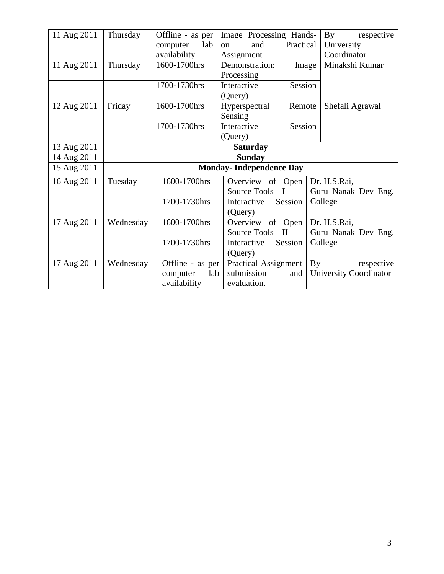| 11 Aug 2011 | Thursday                       | Offline - as per                                 | Image Processing Hands-      | By<br>respective                      |  |
|-------------|--------------------------------|--------------------------------------------------|------------------------------|---------------------------------------|--|
|             |                                | lab<br>computer                                  | Practical<br>and<br>$\alpha$ | University                            |  |
|             |                                | availability                                     | Assignment                   | Coordinator                           |  |
| 11 Aug 2011 | Thursday                       | 1600-1700hrs                                     | Demonstration:               | Minakshi Kumar<br>Image               |  |
|             |                                |                                                  | Processing                   |                                       |  |
|             |                                | 1700-1730hrs                                     | Session<br>Interactive       |                                       |  |
|             |                                |                                                  | (Query)                      |                                       |  |
| 12 Aug 2011 | Friday                         | 1600-1700hrs                                     | Hyperspectral<br>Remote      | Shefali Agrawal                       |  |
|             |                                |                                                  | Sensing                      |                                       |  |
|             |                                | 1700-1730hrs                                     | Interactive<br>Session       |                                       |  |
|             |                                |                                                  | (Query)                      |                                       |  |
| 13 Aug 2011 | <b>Saturday</b>                |                                                  |                              |                                       |  |
| 14 Aug 2011 | <b>Sunday</b>                  |                                                  |                              |                                       |  |
| 15 Aug 2011 | <b>Monday-Independence Day</b> |                                                  |                              |                                       |  |
| 16 Aug 2011 | Tuesday                        | 1600-1700hrs<br>Overview of Open<br>Dr. H.S.Rai, |                              |                                       |  |
|             |                                |                                                  | Source Tools - I             | Guru Nanak Dev Eng.                   |  |
|             |                                | 1700-1730hrs                                     | Session<br>Interactive       | College                               |  |
|             |                                |                                                  | (Query)                      |                                       |  |
| 17 Aug 2011 | Wednesday                      | 1600-1700hrs                                     | Overview of Open             | Dr. H.S.Rai,                          |  |
|             |                                |                                                  | Source Tools - II            | Guru Nanak Dev Eng.                   |  |
|             |                                | 1700-1730hrs                                     | Session<br>Interactive       | College                               |  |
|             |                                |                                                  | (Query)                      |                                       |  |
| 17 Aug 2011 | Wednesday                      | Offline - as per                                 | <b>Practical Assignment</b>  | $\mathbf{B} \mathbf{y}$<br>respective |  |
|             |                                | lab<br>computer                                  | submission<br>and            | University Coordinator                |  |
|             |                                | availability                                     | evaluation.                  |                                       |  |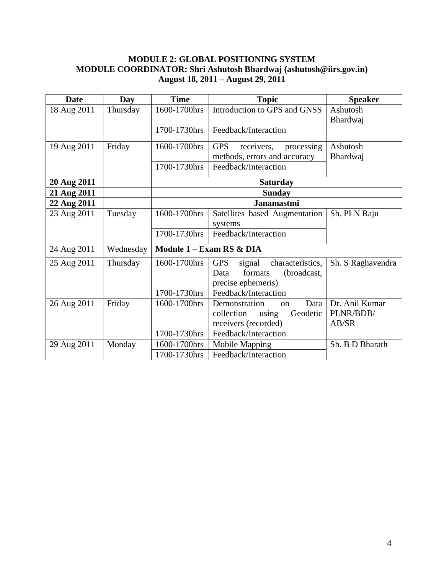#### **MODULE 2: GLOBAL POSITIONING SYSTEM MODULE COORDINATOR: Shri Ashutosh Bhardwaj (ashutosh@iirs.gov.in) August 18, 2011 – August 29, 2011**

| <b>Date</b> | <b>Day</b> | <b>Time</b>              | <b>Topic</b>                             | <b>Speaker</b>    |
|-------------|------------|--------------------------|------------------------------------------|-------------------|
| 18 Aug 2011 | Thursday   | 1600-1700hrs             | Introduction to GPS and GNSS             | Ashutosh          |
|             |            |                          |                                          | Bhardwaj          |
|             |            | 1700-1730hrs             | Feedback/Interaction                     |                   |
| 19 Aug 2011 | Friday     | 1600-1700hrs             | <b>GPS</b><br>receivers,<br>processing   | Ashutosh          |
|             |            |                          | methods, errors and accuracy             | Bhardwaj          |
|             |            | 1700-1730hrs             | Feedback/Interaction                     |                   |
| 20 Aug 2011 |            | <b>Saturday</b>          |                                          |                   |
| 21 Aug 2011 |            |                          | <b>Sunday</b>                            |                   |
| 22 Aug 2011 |            |                          | <b>Janamastmi</b>                        |                   |
| 23 Aug 2011 | Tuesday    | 1600-1700hrs             | Satellites based Augmentation            | Sh. PLN Raju      |
|             |            |                          | systems                                  |                   |
|             |            | 1700-1730hrs             | Feedback/Interaction                     |                   |
| 24 Aug 2011 | Wednesday  | Module 1 - Exam RS & DIA |                                          |                   |
| 25 Aug 2011 | Thursday   | 1600-1700hrs             | characteristics,<br><b>GPS</b><br>signal | Sh. S Raghavendra |
|             |            |                          | formats<br>(broadcast,<br>Data           |                   |
|             |            |                          | precise ephemeris)                       |                   |
|             |            | 1700-1730hrs             | Feedback/Interaction                     |                   |
| 26 Aug 2011 | Friday     | 1600-1700hrs             | Demonstration<br>Data<br><sub>on</sub>   | Dr. Anil Kumar    |
|             |            |                          | collection<br>Geodetic<br>using          | PLNR/BDB/         |
|             |            |                          | receivers (recorded)                     | AB/SR             |
|             |            | 1700-1730hrs             | Feedback/Interaction                     |                   |
| 29 Aug 2011 | Monday     | 1600-1700hrs             | Mobile Mapping                           | Sh. B D Bharath   |
|             |            | 1700-1730hrs             | Feedback/Interaction                     |                   |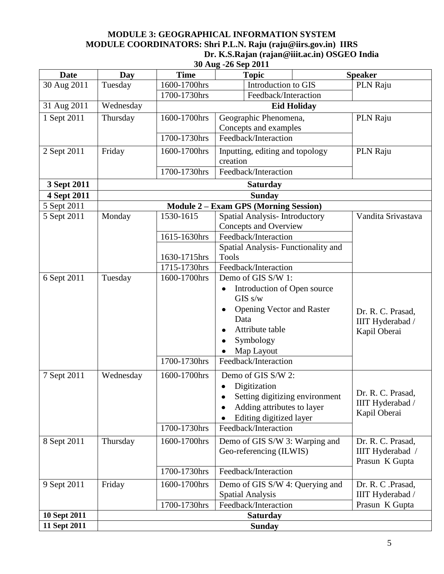### **MODULE 3: GEOGRAPHICAL INFORMATION SYSTEM MODULE COORDINATORS: Shri P.L.N. Raju (raju@iirs.gov.in) IIRS Dr. K.S.Rajan (rajan@iiit.ac.in) OSGEO India**

| 30 Aug -26 Sep 2011 |                 |                    |                                              |                    |  |
|---------------------|-----------------|--------------------|----------------------------------------------|--------------------|--|
| <b>Date</b>         | Day             | <b>Time</b>        | <b>Topic</b>                                 | <b>Speaker</b>     |  |
| 30 Aug 2011         | Tuesday         | 1600-1700hrs       | Introduction to GIS                          | PLN Raju           |  |
|                     |                 | 1700-1730hrs       | Feedback/Interaction                         |                    |  |
| 31 Aug 2011         | Wednesday       | <b>Eid Holiday</b> |                                              |                    |  |
| 1 Sept 2011         | Thursday        | 1600-1700hrs       | Geographic Phenomena,                        | PLN Raju           |  |
|                     |                 |                    | Concepts and examples                        |                    |  |
|                     |                 | 1700-1730hrs       | Feedback/Interaction                         |                    |  |
| 2 Sept 2011         | Friday          | 1600-1700hrs       | Inputting, editing and topology<br>creation  | PLN Raju           |  |
|                     |                 | 1700-1730hrs       | Feedback/Interaction                         |                    |  |
| 3 Sept 2011         |                 |                    | <b>Saturday</b>                              |                    |  |
| 4 Sept 2011         |                 |                    | <b>Sunday</b>                                |                    |  |
| 5 Sept 2011         |                 |                    | <b>Module 2 - Exam GPS (Morning Session)</b> |                    |  |
| 5 Sept 2011         | Monday          | 1530-1615          | Spatial Analysis- Introductory               | Vandita Srivastava |  |
|                     |                 |                    | Concepts and Overview                        |                    |  |
|                     |                 | 1615-1630hrs       | Feedback/Interaction                         |                    |  |
|                     |                 |                    | Spatial Analysis- Functionality and          |                    |  |
|                     |                 | 1630-1715hrs       | <b>Tools</b>                                 |                    |  |
|                     |                 | 1715-1730hrs       | Feedback/Interaction                         |                    |  |
| 6 Sept 2011         | Tuesday         | 1600-1700hrs       | Demo of GIS S/W 1:                           |                    |  |
|                     |                 |                    | Introduction of Open source<br>٠<br>GISs/w   |                    |  |
|                     |                 |                    | <b>Opening Vector and Raster</b>             | Dr. R. C. Prasad,  |  |
|                     |                 |                    | Data                                         | IIIT Hyderabad /   |  |
|                     |                 |                    | Attribute table                              | Kapil Oberai       |  |
|                     |                 |                    | Symbology                                    |                    |  |
|                     |                 |                    | Map Layout                                   |                    |  |
|                     |                 | 1700-1730hrs       | Feedback/Interaction                         |                    |  |
| 7 Sept 2011         | Wednesday       | 1600-1700hrs       | Demo of GIS S/W 2:                           |                    |  |
|                     |                 |                    | Digitization                                 |                    |  |
|                     |                 |                    | Setting digitizing environment               | Dr. R. C. Prasad,  |  |
|                     |                 |                    | Adding attributes to layer                   | IIIT Hyderabad /   |  |
|                     |                 |                    | Editing digitized layer                      | Kapil Oberai       |  |
|                     |                 | 1700-1730hrs       | Feedback/Interaction                         |                    |  |
| 8 Sept 2011         | Thursday        | 1600-1700hrs       | Demo of GIS S/W 3: Warping and               | Dr. R. C. Prasad,  |  |
|                     |                 |                    | Geo-referencing (ILWIS)                      | IIIT Hyderabad /   |  |
|                     |                 |                    |                                              | Prasun K Gupta     |  |
|                     |                 | 1700-1730hrs       | Feedback/Interaction                         |                    |  |
| 9 Sept 2011         | Friday          | 1600-1700hrs       | Demo of GIS S/W 4: Querying and              | Dr. R. C. Prasad,  |  |
|                     |                 |                    | <b>Spatial Analysis</b>                      | IIIT Hyderabad /   |  |
|                     |                 | 1700-1730hrs       | Feedback/Interaction                         | Prasun K Gupta     |  |
| 10 Sept 2011        | <b>Saturday</b> |                    |                                              |                    |  |
| 11 Sept 2011        |                 |                    | <b>Sunday</b>                                |                    |  |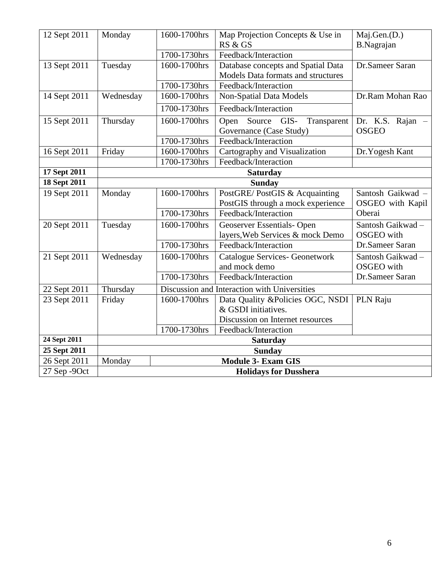| 12 Sept 2011 | Monday                              | 1600-1700hrs                                 | Map Projection Concepts & Use in      | Maj.Gen.(D.)      |  |
|--------------|-------------------------------------|----------------------------------------------|---------------------------------------|-------------------|--|
|              |                                     |                                              | RS & GS                               | <b>B.Nagrajan</b> |  |
|              |                                     | 1700-1730hrs                                 | Feedback/Interaction                  |                   |  |
| 13 Sept 2011 | Tuesday                             | 1600-1700hrs                                 | Database concepts and Spatial Data    | Dr.Sameer Saran   |  |
|              |                                     |                                              | Models Data formats and structures    |                   |  |
|              |                                     | 1700-1730hrs                                 | Feedback/Interaction                  |                   |  |
| 14 Sept 2011 | Wednesday                           | 1600-1700hrs                                 | Non-Spatial Data Models               | Dr.Ram Mohan Rao  |  |
|              |                                     | 1700-1730hrs                                 | Feedback/Interaction                  |                   |  |
| 15 Sept 2011 | Thursday                            | 1600-1700hrs                                 | Source<br>GIS-<br>Open<br>Transparent | Dr. K.S. Rajan -  |  |
|              |                                     |                                              | Governance (Case Study)               | <b>OSGEO</b>      |  |
|              |                                     | 1700-1730hrs                                 | Feedback/Interaction                  |                   |  |
| 16 Sept 2011 | Friday                              | 1600-1700hrs                                 | Cartography and Visualization         | Dr.Yogesh Kant    |  |
|              |                                     | 1700-1730hrs                                 | Feedback/Interaction                  |                   |  |
| 17 Sept 2011 | <b>Saturday</b>                     |                                              |                                       |                   |  |
| 18 Sept 2011 |                                     | <b>Sunday</b>                                |                                       |                   |  |
| 19 Sept 2011 | Monday                              | 1600-1700hrs                                 | PostGRE/PostGIS & Acquainting         | Santosh Gaikwad - |  |
|              |                                     |                                              | PostGIS through a mock experience     | OSGEO with Kapil  |  |
|              |                                     | 1700-1730hrs                                 | Feedback/Interaction                  | Oberai            |  |
| 20 Sept 2011 | Tuesday                             | 1600-1700hrs                                 | Geoserver Essentials-Open             | Santosh Gaikwad-  |  |
|              |                                     |                                              | layers, Web Services & mock Demo      | <b>OSGEO</b> with |  |
|              |                                     | 1700-1730hrs                                 | Feedback/Interaction                  | Dr.Sameer Saran   |  |
| 21 Sept 2011 | Wednesday                           | 1600-1700hrs                                 | <b>Catalogue Services- Geonetwork</b> | Santosh Gaikwad - |  |
|              |                                     |                                              | and mock demo                         | <b>OSGEO</b> with |  |
|              |                                     | 1700-1730hrs                                 | Feedback/Interaction                  | Dr.Sameer Saran   |  |
| 22 Sept 2011 | Thursday                            | Discussion and Interaction with Universities |                                       |                   |  |
| 23 Sept 2011 | Friday                              | 1600-1700hrs                                 | Data Quality &Policies OGC, NSDI      | PLN Raju          |  |
|              |                                     |                                              | & GSDI initiatives.                   |                   |  |
|              |                                     |                                              | Discussion on Internet resources      |                   |  |
|              |                                     | 1700-1730hrs                                 | Feedback/Interaction                  |                   |  |
| 24 Sept 2011 | <b>Saturday</b>                     |                                              |                                       |                   |  |
| 25 Sept 2011 | <b>Sunday</b>                       |                                              |                                       |                   |  |
| 26 Sept 2011 | <b>Module 3- Exam GIS</b><br>Monday |                                              |                                       |                   |  |
| 27 Sep -9Oct | <b>Holidays for Dusshera</b>        |                                              |                                       |                   |  |